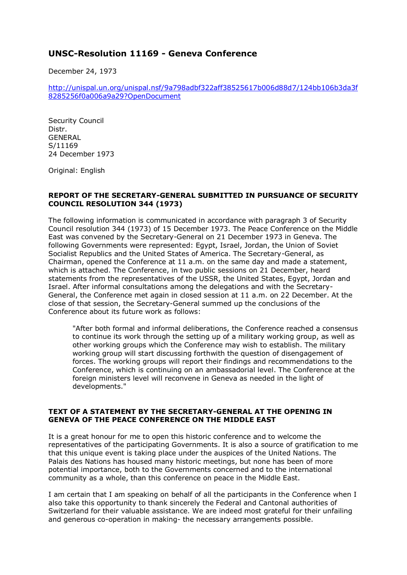## **UNSC-Resolution 11169 - Geneva Conference**

December 24, 1973

[http://unispal.un.org/unispal.nsf/9a798adbf322aff38525617b006d88d7/124bb106b3da3f](http://unispal.un.org/unispal.nsf/9a798adbf322aff38525617b006d88d7/124bb106b3da3f8285256f0a006a9a29?OpenDocument) [8285256f0a006a9a29?OpenDocument](http://unispal.un.org/unispal.nsf/9a798adbf322aff38525617b006d88d7/124bb106b3da3f8285256f0a006a9a29?OpenDocument)

Security Council Distr. GENERAL S/11169 24 December 1973

Original: English

## **REPORT OF THE SECRETARY-GENERAL SUBMITTED IN PURSUANCE OF SECURITY COUNCIL RESOLUTION 344 (1973)**

The following information is communicated in accordance with paragraph 3 of Security Council resolution 344 (1973) of 15 December 1973. The Peace Conference on the Middle East was convened by the Secretary-General on 21 December 1973 in Geneva. The following Governments were represented: Egypt, Israel, Jordan, the Union of Soviet Socialist Republics and the United States of America. The Secretary-General, as Chairman, opened the Conference at 11 a.m. on the same day and made a statement, which is attached. The Conference, in two public sessions on 21 December, heard statements from the representatives of the USSR, the United States, Egypt, Jordan and Israel. After informal consultations among the delegations and with the Secretary-General, the Conference met again in closed session at 11 a.m. on 22 December. At the close of that session, the Secretary-General summed up the conclusions of the Conference about its future work as follows:

"After both formal and informal deliberations, the Conference reached a consensus to continue its work through the setting up of a military working group, as well as other working groups which the Conference may wish to establish. The military working group will start discussing forthwith the question of disengagement of forces. The working groups will report their findings and recommendations to the Conference, which is continuing on an ambassadorial level. The Conference at the foreign ministers level will reconvene in Geneva as needed in the light of developments."

## **TEXT OF A STATEMENT BY THE SECRETARY-GENERAL AT THE OPENING IN GENEVA OF THE PEACE CONFERENCE ON THE MIDDLE EAST**

It is a great honour for me to open this historic conference and to welcome the representatives of the participating Governments. It is also a source of gratification to me that this unique event is taking place under the auspices of the United Nations. The Palais des Nations has housed many historic meetings, but none has been of more potential importance, both to the Governments concerned and to the international community as a whole, than this conference on peace in the Middle East.

I am certain that I am speaking on behalf of all the participants in the Conference when I also take this opportunity to thank sincerely the Federal and Cantonal authorities of Switzerland for their valuable assistance. We are indeed most grateful for their unfailing and generous co-operation in making- the necessary arrangements possible.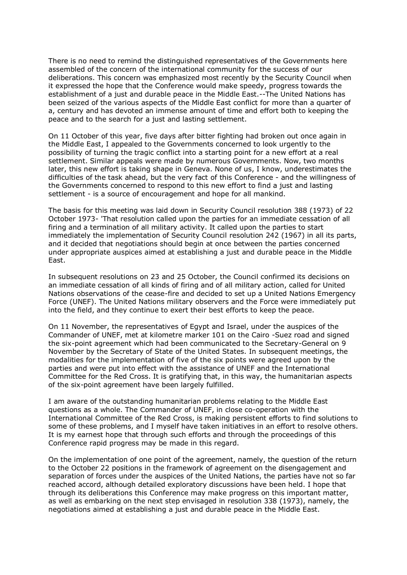There is no need to remind the distinguished representatives of the Governments here assembled of the concern of the international community for the success of our deliberations. This concern was emphasized most recently by the Security Council when it expressed the hope that the Conference would make speedy, progress towards the establishment of a just and durable peace in the Middle East.--The United Nations has been seized of the various aspects of the Middle East conflict for more than a quarter of a, century and has devoted an immense amount of time and effort both to keeping the peace and to the search for a just and lasting settlement.

On 11 October of this year, five days after bitter fighting had broken out once again in the Middle East, I appealed to the Governments concerned to look urgently to the possibility of turning the tragic conflict into a starting point for a new effort at a real settlement. Similar appeals were made by numerous Governments. Now, two months later, this new effort is taking shape in Geneva. None of us, I know, underestimates the difficulties of the task ahead, but the very fact of this Conference - and the willingness of the Governments concerned to respond to this new effort to find a just and lasting settlement - is a source of encouragement and hope for all mankind.

The basis for this meeting was laid down in Security Council resolution 388 (1973) of 22 October 1973- 'That resolution called upon the parties for an immediate cessation of all firing and a termination of all military activity. It called upon the parties to start immediately the implementation of Security Council resolution 242 (1967) in all its parts, and it decided that negotiations should begin at once between the parties concerned under appropriate auspices aimed at establishing a just and durable peace in the Middle East.

In subsequent resolutions on 23 and 25 October, the Council confirmed its decisions on an immediate cessation of all kinds of firing and of all military action, called for United Nations observations of the cease-fire and decided to set up a United Nations Emergency Force (UNEF). The United Nations military observers and the Force were immediately put into the field, and they continue to exert their best efforts to keep the peace.

On 11 November, the representatives of Egypt and Israel, under the auspices of the Commander of UNEF, met at kilometre marker 101 on the Cairo -Suez road and signed the six-point agreement which had been communicated to the Secretary-General on 9 November by the Secretary of State of the United States. In subsequent meetings, the modalities for the implementation of five of the six points were agreed upon by the parties and were put into effect with the assistance of UNEF and the International Committee for the Red Cross. It is gratifying that, in this way, the humanitarian aspects of the six-point agreement have been largely fulfilled.

I am aware of the outstanding humanitarian problems relating to the Middle East questions as a whole. The Commander of UNEF, in close co-operation with the International Committee of the Red Cross, is making persistent efforts to find solutions to some of these problems, and I myself have taken initiatives in an effort to resolve others. It is my earnest hope that through such efforts and through the proceedings of this Conference rapid progress may be made in this regard.

On the implementation of one point of the agreement, namely, the question of the return to the October 22 positions in the framework of agreement on the disengagement and separation of forces under the auspices of the United Nations, the parties have not so far reached accord, although detailed exploratory discussions have been held. I hope that through its deliberations this Conference may make progress on this important matter, as well as embarking on the next step envisaged in resolution 338 (1973), namely, the negotiations aimed at establishing a just and durable peace in the Middle East.